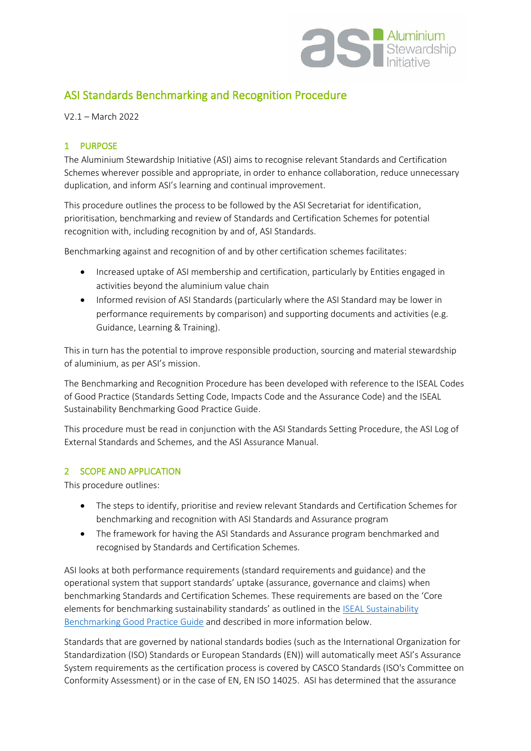

# ASI Standards Benchmarking and Recognition Procedure

V2.1 – March 2022

## 1 PURPOSE

The Aluminium Stewardship Initiative (ASI) aims to recognise relevant Standards and Certification Schemes wherever possible and appropriate, in order to enhance collaboration, reduce unnecessary duplication, and inform ASI's learning and continual improvement.

This procedure outlines the process to be followed by the ASI Secretariat for identification, prioritisation, benchmarking and review of Standards and Certification Schemes for potential recognition with, including recognition by and of, ASI Standards.

Benchmarking against and recognition of and by other certification schemes facilitates:

- Increased uptake of ASI membership and certification, particularly by Entities engaged in activities beyond the aluminium value chain
- Informed revision of ASI Standards (particularly where the ASI Standard may be lower in performance requirements by comparison) and supporting documents and activities (e.g. Guidance, Learning & Training).

This in turn has the potential to improve responsible production, sourcing and material stewardship of aluminium, as per ASI's mission.

The Benchmarking and Recognition Procedure has been developed with reference to the ISEAL Codes of Good Practice (Standards Setting Code, Impacts Code and the Assurance Code) and the ISEAL Sustainability Benchmarking Good Practice Guide.

This procedure must be read in conjunction with the ASI Standards Setting Procedure, the ASI Log of External Standards and Schemes, and the ASI Assurance Manual.

#### 2 SCOPE AND APPLICATION

This procedure outlines:

- The steps to identify, prioritise and review relevant Standards and Certification Schemes for benchmarking and recognition with ASI Standards and Assurance program
- The framework for having the ASI Standards and Assurance program benchmarked and recognised by Standards and Certification Schemes.

ASI looks at both performance requirements (standard requirements and guidance) and the operational system that support standards' uptake (assurance, governance and claims) when benchmarking Standards and Certification Schemes. These requirements are based on the 'Core elements for benchmarking sustainability standards' as outlined in the **ISEAL Sustainability** [Benchmarking Good Practice Guide](https://www.isealalliance.org/about-iseal/our-work/benchmarking) and described in more information below.

Standards that are governed by national standards bodies (such as the International Organization for Standardization (ISO) Standards or European Standards (EN)) will automatically meet ASI's Assurance System requirements as the certification process is covered by CASCO Standards (ISO's Committee on Conformity Assessment) or in the case of EN, EN ISO 14025. ASI has determined that the assurance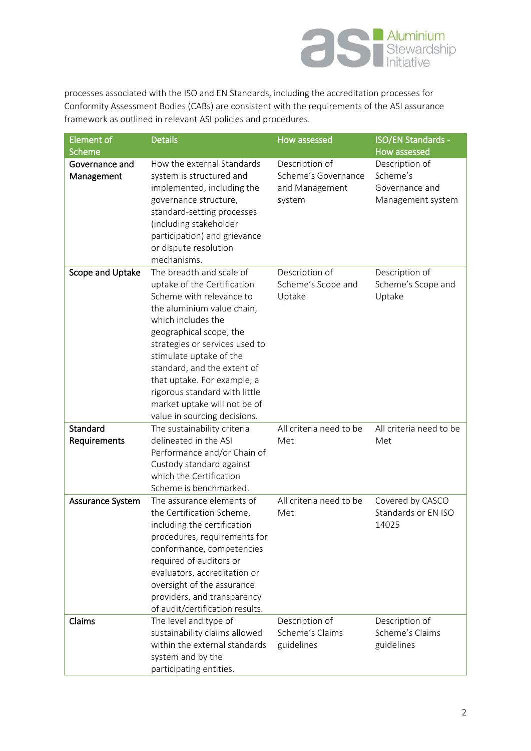

processes associated with the ISO and EN Standards, including the accreditation processes for Conformity Assessment Bodies (CABs) are consistent with the requirements of the ASI assurance framework as outlined in relevant ASI policies and procedures.

| <b>Element of</b>            | <b>Details</b>                                                                                                                                                                                                                                                                                                                                                                                 | How assessed                                                      | <b>ISO/EN Standards -</b>                                         |
|------------------------------|------------------------------------------------------------------------------------------------------------------------------------------------------------------------------------------------------------------------------------------------------------------------------------------------------------------------------------------------------------------------------------------------|-------------------------------------------------------------------|-------------------------------------------------------------------|
| Scheme                       |                                                                                                                                                                                                                                                                                                                                                                                                |                                                                   | <b>How assessed</b>                                               |
| Governance and<br>Management | How the external Standards<br>system is structured and<br>implemented, including the<br>governance structure,<br>standard-setting processes<br>(including stakeholder<br>participation) and grievance<br>or dispute resolution<br>mechanisms.                                                                                                                                                  | Description of<br>Scheme's Governance<br>and Management<br>system | Description of<br>Scheme's<br>Governance and<br>Management system |
| Scope and Uptake             | The breadth and scale of<br>uptake of the Certification<br>Scheme with relevance to<br>the aluminium value chain,<br>which includes the<br>geographical scope, the<br>strategies or services used to<br>stimulate uptake of the<br>standard, and the extent of<br>that uptake. For example, a<br>rigorous standard with little<br>market uptake will not be of<br>value in sourcing decisions. | Description of<br>Scheme's Scope and<br>Uptake                    | Description of<br>Scheme's Scope and<br>Uptake                    |
| Standard                     | The sustainability criteria                                                                                                                                                                                                                                                                                                                                                                    | All criteria need to be                                           | All criteria need to be                                           |
| Requirements                 | delineated in the ASI<br>Performance and/or Chain of<br>Custody standard against<br>which the Certification<br>Scheme is benchmarked.                                                                                                                                                                                                                                                          | Met                                                               | Met                                                               |
| Assurance System             | The assurance elements of<br>the Certification Scheme,<br>including the certification<br>procedures, requirements for<br>conformance, competencies<br>required of auditors or<br>evaluators, accreditation or<br>oversight of the assurance<br>providers, and transparency<br>of audit/certification results.                                                                                  | All criteria need to be<br>Met                                    | Covered by CASCO<br>Standards or EN ISO<br>14025                  |
| Claims                       | The level and type of<br>sustainability claims allowed<br>within the external standards<br>system and by the<br>participating entities.                                                                                                                                                                                                                                                        | Description of<br>Scheme's Claims<br>guidelines                   | Description of<br>Scheme's Claims<br>guidelines                   |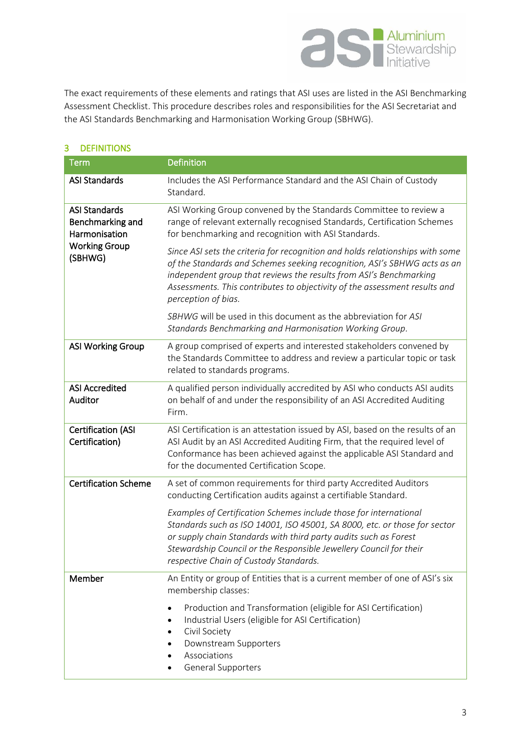

The exact requirements of these elements and ratings that ASI uses are listed in the ASI Benchmarking Assessment Checklist. This procedure describes roles and responsibilities for the ASI Secretariat and the ASI Standards Benchmarking and Harmonisation Working Group (SBHWG).

| <b>Term</b>                                                                                  | <b>Definition</b>                                                                                                                                                                                                                                                                                                                    |
|----------------------------------------------------------------------------------------------|--------------------------------------------------------------------------------------------------------------------------------------------------------------------------------------------------------------------------------------------------------------------------------------------------------------------------------------|
| <b>ASI Standards</b>                                                                         | Includes the ASI Performance Standard and the ASI Chain of Custody<br>Standard.                                                                                                                                                                                                                                                      |
| <b>ASI Standards</b><br>Benchmarking and<br>Harmonisation<br><b>Working Group</b><br>(SBHWG) | ASI Working Group convened by the Standards Committee to review a<br>range of relevant externally recognised Standards, Certification Schemes<br>for benchmarking and recognition with ASI Standards.                                                                                                                                |
|                                                                                              | Since ASI sets the criteria for recognition and holds relationships with some<br>of the Standards and Schemes seeking recognition, ASI's SBHWG acts as an<br>independent group that reviews the results from ASI's Benchmarking<br>Assessments. This contributes to objectivity of the assessment results and<br>perception of bias. |
|                                                                                              | SBHWG will be used in this document as the abbreviation for ASI<br>Standards Benchmarking and Harmonisation Working Group.                                                                                                                                                                                                           |
| <b>ASI Working Group</b>                                                                     | A group comprised of experts and interested stakeholders convened by<br>the Standards Committee to address and review a particular topic or task<br>related to standards programs.                                                                                                                                                   |
| <b>ASI Accredited</b><br>Auditor                                                             | A qualified person individually accredited by ASI who conducts ASI audits<br>on behalf of and under the responsibility of an ASI Accredited Auditing<br>Firm.                                                                                                                                                                        |
| <b>Certification (ASI</b><br>Certification)                                                  | ASI Certification is an attestation issued by ASI, based on the results of an<br>ASI Audit by an ASI Accredited Auditing Firm, that the required level of<br>Conformance has been achieved against the applicable ASI Standard and<br>for the documented Certification Scope.                                                        |
| <b>Certification Scheme</b>                                                                  | A set of common requirements for third party Accredited Auditors<br>conducting Certification audits against a certifiable Standard.                                                                                                                                                                                                  |
|                                                                                              | Examples of Certification Schemes include those for international<br>Standards such as ISO 14001, ISO 45001, SA 8000, etc. or those for sector<br>or supply chain Standards with third party audits such as Forest<br>Stewardship Council or the Responsible Jewellery Council for their<br>respective Chain of Custody Standards.   |
| Member                                                                                       | An Entity or group of Entities that is a current member of one of ASI's six<br>membership classes:                                                                                                                                                                                                                                   |
|                                                                                              | Production and Transformation (eligible for ASI Certification)<br>Industrial Users (eligible for ASI Certification)<br>Civil Society<br>Downstream Supporters<br>Associations<br>General Supporters                                                                                                                                  |

# 3 DEFINITIONS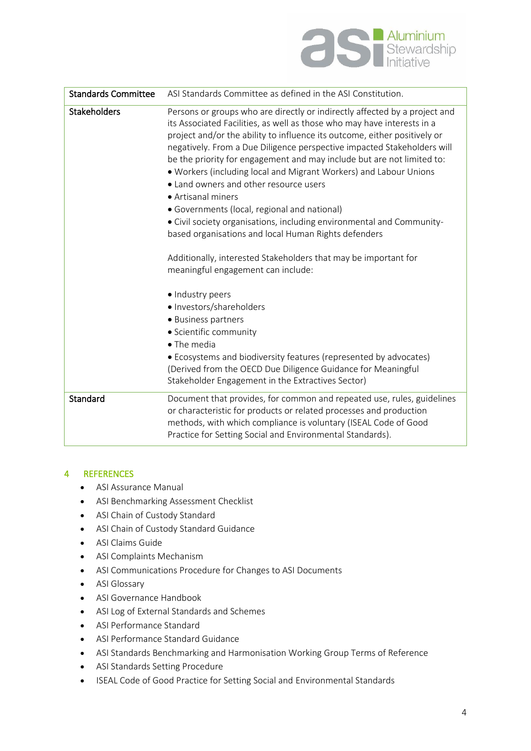

| <b>Standards Committee</b> | ASI Standards Committee as defined in the ASI Constitution.                                                                                                                                                                                                                                                                                                                                                                                                                                                                                                                                                                                                                                                                                                                      |
|----------------------------|----------------------------------------------------------------------------------------------------------------------------------------------------------------------------------------------------------------------------------------------------------------------------------------------------------------------------------------------------------------------------------------------------------------------------------------------------------------------------------------------------------------------------------------------------------------------------------------------------------------------------------------------------------------------------------------------------------------------------------------------------------------------------------|
| <b>Stakeholders</b>        | Persons or groups who are directly or indirectly affected by a project and<br>its Associated Facilities, as well as those who may have interests in a<br>project and/or the ability to influence its outcome, either positively or<br>negatively. From a Due Diligence perspective impacted Stakeholders will<br>be the priority for engagement and may include but are not limited to:<br>. Workers (including local and Migrant Workers) and Labour Unions<br>• Land owners and other resource users<br>• Artisanal miners<br>• Governments (local, regional and national)<br>• Civil society organisations, including environmental and Community-<br>based organisations and local Human Rights defenders<br>Additionally, interested Stakeholders that may be important for |
|                            | meaningful engagement can include:<br>· Industry peers<br>· Investors/shareholders<br>• Business partners<br>· Scientific community<br>• The media<br>• Ecosystems and biodiversity features (represented by advocates)<br>(Derived from the OECD Due Diligence Guidance for Meaningful<br>Stakeholder Engagement in the Extractives Sector)                                                                                                                                                                                                                                                                                                                                                                                                                                     |
| Standard                   | Document that provides, for common and repeated use, rules, guidelines<br>or characteristic for products or related processes and production<br>methods, with which compliance is voluntary (ISEAL Code of Good<br>Practice for Setting Social and Environmental Standards).                                                                                                                                                                                                                                                                                                                                                                                                                                                                                                     |

#### 4 REFERENCES

- ASI Assurance Manual
- ASI Benchmarking Assessment Checklist
- ASI Chain of Custody Standard
- ASI Chain of Custody Standard Guidance
- ASI Claims Guide
- ASI Complaints Mechanism
- ASI Communications Procedure for Changes to ASI Documents
- ASI Glossary
- ASI Governance Handbook
- ASI Log of External Standards and Schemes
- ASI Performance Standard
- ASI Performance Standard Guidance
- ASI Standards Benchmarking and Harmonisation Working Group Terms of Reference
- ASI Standards Setting Procedure
- ISEAL Code of Good Practice for Setting Social and Environmental Standards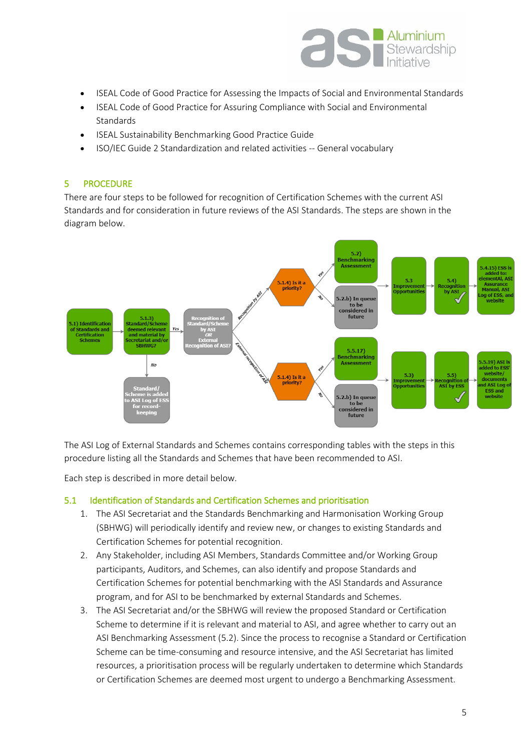

- ISEAL Code of Good Practice for Assessing the Impacts of Social and Environmental Standards
- ISEAL Code of Good Practice for Assuring Compliance with Social and Environmental **Standards**
- ISEAL Sustainability Benchmarking Good Practice Guide
- ISO/IEC Guide 2 Standardization and related activities -- General vocabulary

#### 5 PROCEDURE

There are four steps to be followed for recognition of Certification Schemes with the current ASI Standards and for consideration in future reviews of the ASI Standards. The steps are shown in the diagram below.



The ASI Log of External Standards and Schemes contains corresponding tables with the steps in this procedure listing all the Standards and Schemes that have been recommended to ASI.

Each step is described in more detail below.

#### 5.1 Identification of Standards and Certification Schemes and prioritisation

- 1. The ASI Secretariat and the Standards Benchmarking and Harmonisation Working Group (SBHWG) will periodically identify and review new, or changes to existing Standards and Certification Schemes for potential recognition.
- 2. Any Stakeholder, including ASI Members, Standards Committee and/or Working Group participants, Auditors, and Schemes, can also identify and propose Standards and Certification Schemes for potential benchmarking with the ASI Standards and Assurance program, and for ASI to be benchmarked by external Standards and Schemes.
- 3. The ASI Secretariat and/or the SBHWG will review the proposed Standard or Certification Scheme to determine if it is relevant and material to ASI, and agree whether to carry out an ASI Benchmarking Assessment (5.2). Since the process to recognise a Standard or Certification Scheme can be time-consuming and resource intensive, and the ASI Secretariat has limited resources, a prioritisation process will be regularly undertaken to determine which Standards or Certification Schemes are deemed most urgent to undergo a Benchmarking Assessment.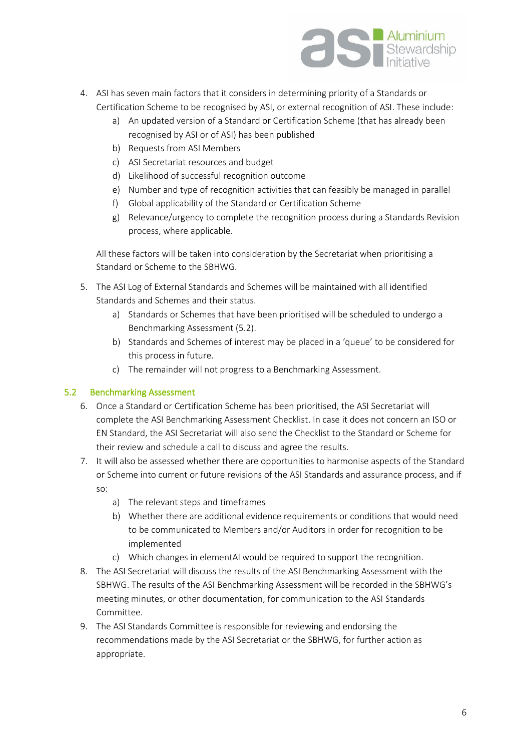

- 4. ASI has seven main factors that it considers in determining priority of a Standards or Certification Scheme to be recognised by ASI, or external recognition of ASI. These include:
	- a) An updated version of a Standard or Certification Scheme (that has already been recognised by ASI or of ASI) has been published
	- b) Requests from ASI Members
	- c) ASI Secretariat resources and budget
	- d) Likelihood of successful recognition outcome
	- e) Number and type of recognition activities that can feasibly be managed in parallel
	- f) Global applicability of the Standard or Certification Scheme
	- g) Relevance/urgency to complete the recognition process during a Standards Revision process, where applicable.

All these factors will be taken into consideration by the Secretariat when prioritising a Standard or Scheme to the SBHWG.

- 5. The ASI Log of External Standards and Schemes will be maintained with all identified Standards and Schemes and their status.
	- a) Standards or Schemes that have been prioritised will be scheduled to undergo a Benchmarking Assessment (5.2).
	- b) Standards and Schemes of interest may be placed in a 'queue' to be considered for this process in future.
	- c) The remainder will not progress to a Benchmarking Assessment.

#### 5.2 Benchmarking Assessment

- 6. Once a Standard or Certification Scheme has been prioritised, the ASI Secretariat will complete the ASI Benchmarking Assessment Checklist. In case it does not concern an ISO or EN Standard, the ASI Secretariat will also send the Checklist to the Standard or Scheme for their review and schedule a call to discuss and agree the results.
- 7. It will also be assessed whether there are opportunities to harmonise aspects of the Standard or Scheme into current or future revisions of the ASI Standards and assurance process, and if so:
	- a) The relevant steps and timeframes
	- b) Whether there are additional evidence requirements or conditions that would need to be communicated to Members and/or Auditors in order for recognition to be implemented
	- c) Which changes in elementAl would be required to support the recognition.
- 8. The ASI Secretariat will discuss the results of the ASI Benchmarking Assessment with the SBHWG. The results of the ASI Benchmarking Assessment will be recorded in the SBHWG's meeting minutes, or other documentation, for communication to the ASI Standards Committee.
- 9. The ASI Standards Committee is responsible for reviewing and endorsing the recommendations made by the ASI Secretariat or the SBHWG, for further action as appropriate.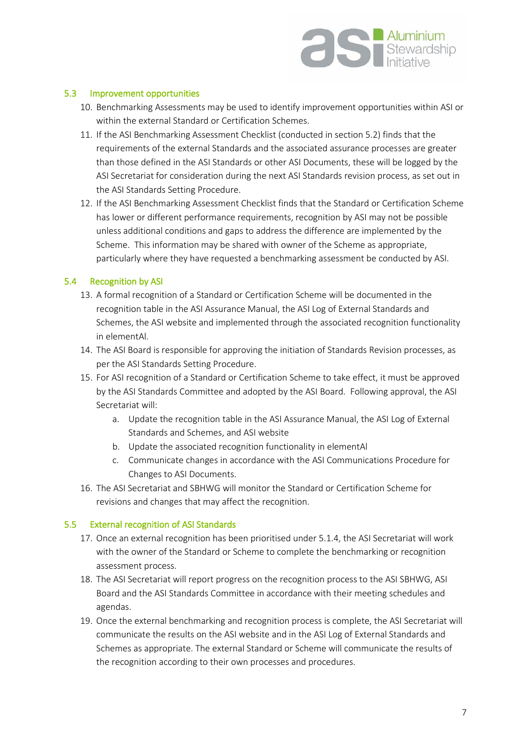

#### 5.3 Improvement opportunities

- 10. Benchmarking Assessments may be used to identify improvement opportunities within ASI or within the external Standard or Certification Schemes.
- 11. If the ASI Benchmarking Assessment Checklist (conducted in section 5.2) finds that the requirements of the external Standards and the associated assurance processes are greater than those defined in the ASI Standards or other ASI Documents, these will be logged by the ASI Secretariat for consideration during the next ASI Standards revision process, as set out in the ASI Standards Setting Procedure.
- 12. If the ASI Benchmarking Assessment Checklist finds that the Standard or Certification Scheme has lower or different performance requirements, recognition by ASI may not be possible unless additional conditions and gaps to address the difference are implemented by the Scheme. This information may be shared with owner of the Scheme as appropriate, particularly where they have requested a benchmarking assessment be conducted by ASI.

# 5.4 Recognition by ASI

- 13. A formal recognition of a Standard or Certification Scheme will be documented in the recognition table in the ASI Assurance Manual, the ASI Log of External Standards and Schemes, the ASI website and implemented through the associated recognition functionality in elementAl.
- 14. The ASI Board is responsible for approving the initiation of Standards Revision processes, as per the ASI Standards Setting Procedure.
- 15. For ASI recognition of a Standard or Certification Scheme to take effect, it must be approved by the ASI Standards Committee and adopted by the ASI Board. Following approval, the ASI Secretariat will:
	- a. Update the recognition table in the ASI Assurance Manual, the ASI Log of External Standards and Schemes, and ASI website
	- b. Update the associated recognition functionality in elementAl
	- c. Communicate changes in accordance with the ASI Communications Procedure for Changes to ASI Documents.
- 16. The ASI Secretariat and SBHWG will monitor the Standard or Certification Scheme for revisions and changes that may affect the recognition.

# 5.5 External recognition of ASI Standards

- 17. Once an external recognition has been prioritised under 5.1.4, the ASI Secretariat will work with the owner of the Standard or Scheme to complete the benchmarking or recognition assessment process.
- 18. The ASI Secretariat will report progress on the recognition process to the ASI SBHWG, ASI Board and the ASI Standards Committee in accordance with their meeting schedules and agendas.
- 19. Once the external benchmarking and recognition process is complete, the ASI Secretariat will communicate the results on the ASI website and in the ASI Log of External Standards and Schemes as appropriate. The external Standard or Scheme will communicate the results of the recognition according to their own processes and procedures.